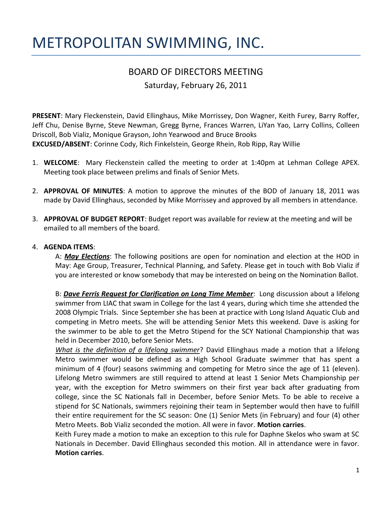# METROPOLITAN SWIMMING, INC.

## BOARD OF DIRECTORS MEETING

Saturday, February 26, 2011

**PRESENT**: Mary Fleckenstein, David Ellinghaus, Mike Morrissey, Don Wagner, Keith Furey, Barry Roffer, Jeff Chu, Denise Byrne, Steve Newman, Gregg Byrne, Frances Warren, LiYan Yao, Larry Collins, Colleen Driscoll, Bob Vializ, Monique Grayson, John Yearwood and Bruce Brooks **EXCUSED/ABSENT**: Corinne Cody, Rich Finkelstein, George Rhein, Rob Ripp, Ray Willie

- 1. **WELCOME**: Mary Fleckenstein called the meeting to order at 1:40pm at Lehman College APEX. Meeting took place between prelims and finals of Senior Mets.
- 2. **APPROVAL OF MINUTES**: A motion to approve the minutes of the BOD of January 18, 2011 was made by David Ellinghaus, seconded by Mike Morrissey and approved by all members in attendance.
- 3. **APPROVAL OF BUDGET REPORT**: Budget report was available for review at the meeting and will be emailed to all members of the board.

#### 4. **AGENDA ITEMS**:

A: *May Elections*: The following positions are open for nomination and election at the HOD in May: Age Group, Treasurer, Technical Planning, and Safety. Please get in touch with Bob Vializ if you are interested or know somebody that may be interested on being on the Nomination Ballot.

B: *Dave Ferris Request for Clarification on Long Time Member*: Long discussion about a lifelong swimmer from LIAC that swam in College for the last 4 years, during which time she attended the 2008 Olympic Trials. Since September she has been at practice with Long Island Aquatic Club and competing in Metro meets. She will be attending Senior Mets this weekend. Dave is asking for the swimmer to be able to get the Metro Stipend for the SCY National Championship that was held in December 2010, before Senior Mets.

*What is the definition of a lifelong swimmer*? David Ellinghaus made a motion that a lifelong Metro swimmer would be defined as a High School Graduate swimmer that has spent a minimum of 4 (four) seasons swimming and competing for Metro since the age of 11 (eleven). Lifelong Metro swimmers are still required to attend at least 1 Senior Mets Championship per year, with the exception for Metro swimmers on their first year back after graduating from college, since the SC Nationals fall in December, before Senior Mets. To be able to receive a stipend for SC Nationals, swimmers rejoining their team in September would then have to fulfill their entire requirement for the SC season: One (1) Senior Mets (in February) and four (4) other Metro Meets. Bob Vializ seconded the motion. All were in favor. **Motion carries**.

Keith Furey made a motion to make an exception to this rule for Daphne Skelos who swam at SC Nationals in December. David Ellinghaus seconded this motion. All in attendance were in favor. **Motion carries**.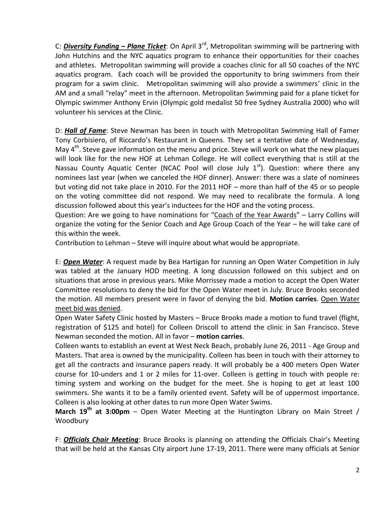C: *Diversity Funding – Plane Ticket*: On April 3<sup>rd</sup>, Metropolitan swimming will be partnering with John Hutchins and the NYC aquatics program to enhance their opportunities for their coaches and athletes. Metropolitan swimming will provide a coaches clinic for all 50 coaches of the NYC aquatics program. Each coach will be provided the opportunity to bring swimmers from their program for a swim clinic. Metropolitan swimming will also provide a swimmers' clinic in the AM and a small "relay" meet in the afternoon. Metropolitan Swimming paid for a plane ticket for Olympic swimmer Anthony Ervin (Olympic gold medalist 50 free Sydney Australia 2000) who will volunteer his services at the Clinic.

D: *Hall of Fame*: Steve Newman has been in touch with Metropolitan Swimming Hall of Famer Tony Corbisiero, of Riccardo's Restaurant in Queens. They set a tentative date of Wednesday, May 4<sup>th</sup>. Steve gave information on the menu and price. Steve will work on what the new plaques will look like for the new HOF at Lehman College. He will collect everything that is still at the Nassau County Aquatic Center (NCAC Pool will close July  $1<sup>st</sup>$ ). Question: where there any nominees last year (when we canceled the HOF dinner). Answer: there was a slate of nominees but voting did not take place in 2010. For the 2011 HOF – more than half of the 45 or so people on the voting committee did not respond. We may need to recalibrate the formula. A long discussion followed about this year's inductees for the HOF and the voting process.

Question: Are we going to have nominations for "Coach of the Year Awards" – Larry Collins will organize the voting for the Senior Coach and Age Group Coach of the Year – he will take care of this within the week.

Contribution to Lehman – Steve will inquire about what would be appropriate.

E: *Open Water*: A request made by Bea Hartigan for running an Open Water Competition in July was tabled at the January HOD meeting. A long discussion followed on this subject and on situations that arose in previous years. Mike Morrissey made a motion to accept the Open Water Committee resolutions to deny the bid for the Open Water meet in July. Bruce Brooks seconded the motion. All members present were in favor of denying the bid. **Motion carries**. Open Water meet bid was denied.

Open Water Safety Clinic hosted by Masters – Bruce Brooks made a motion to fund travel (flight, registration of \$125 and hotel) for Colleen Driscoll to attend the clinic in San Francisco. Steve Newman seconded the motion. All in favor – **motion carries**.

Colleen wants to establish an event at West Neck Beach, probably June 26, 2011 - Age Group and Masters. That area is owned by the municipality. Colleen has been in touch with their attorney to get all the contracts and insurance papers ready. It will probably be a 400 meters Open Water course for 10-unders and 1 or 2 miles for 11-over. Colleen is getting in touch with people re: timing system and working on the budget for the meet. She is hoping to get at least 100 swimmers. She wants it to be a family oriented event. Safety will be of uppermost importance. Colleen is also looking at other dates to run more Open Water Swims.

**March 19th at 3:00pm** – Open Water Meeting at the Huntington Library on Main Street / Woodbury

F: *Officials Chair Meeting*: Bruce Brooks is planning on attending the Officials Chair's Meeting that will be held at the Kansas City airport June 17-19, 2011. There were many officials at Senior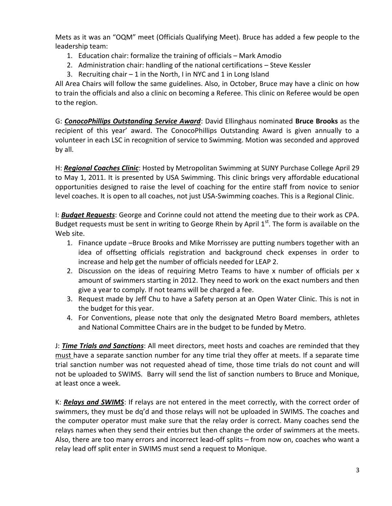Mets as it was an "OQM" meet (Officials Qualifying Meet). Bruce has added a few people to the leadership team:

- 1. Education chair: formalize the training of officials Mark Amodio
- 2. Administration chair: handling of the national certifications Steve Kessler
- 3. Recruiting chair  $-1$  in the North, I in NYC and 1 in Long Island

All Area Chairs will follow the same guidelines. Also, in October, Bruce may have a clinic on how to train the officials and also a clinic on becoming a Referee. This clinic on Referee would be open to the region.

G: *ConocoPhillips Outstanding Service Award*: David Ellinghaus nominated **Bruce Brooks** as the recipient of this year' award. The ConocoPhillips Outstanding Award is given annually to a volunteer in each LSC in recognition of service to Swimming. Motion was seconded and approved by all.

H: *Regional Coaches Clinic*: Hosted by Metropolitan Swimming at SUNY Purchase College April 29 to May 1, 2011. It is presented by USA Swimming. This clinic brings very affordable educational opportunities designed to raise the level of coaching for the entire staff from novice to senior level coaches. It is open to all coaches, not just USA-Swimming coaches. This is a Regional Clinic.

I: *Budget Requests*: George and Corinne could not attend the meeting due to their work as CPA. Budget requests must be sent in writing to George Rhein by April  $1<sup>st</sup>$ . The form is available on the Web site.

- 1. Finance update –Bruce Brooks and Mike Morrissey are putting numbers together with an idea of offsetting officials registration and background check expenses in order to increase and help get the number of officials needed for LEAP 2.
- 2. Discussion on the ideas of requiring Metro Teams to have x number of officials per x amount of swimmers starting in 2012. They need to work on the exact numbers and then give a year to comply. If not teams will be charged a fee.
- 3. Request made by Jeff Chu to have a Safety person at an Open Water Clinic. This is not in the budget for this year.
- 4. For Conventions, please note that only the designated Metro Board members, athletes and National Committee Chairs are in the budget to be funded by Metro.

J: *Time Trials and Sanctions*: All meet directors, meet hosts and coaches are reminded that they must have a separate sanction number for any time trial they offer at meets. If a separate time trial sanction number was not requested ahead of time, those time trials do not count and will not be uploaded to SWIMS. Barry will send the list of sanction numbers to Bruce and Monique, at least once a week.

K: *Relays and SWIMS*: If relays are not entered in the meet correctly, with the correct order of swimmers, they must be dq'd and those relays will not be uploaded in SWIMS. The coaches and the computer operator must make sure that the relay order is correct. Many coaches send the relays names when they send their entries but then change the order of swimmers at the meets. Also, there are too many errors and incorrect lead-off splits – from now on, coaches who want a relay lead off split enter in SWIMS must send a request to Monique.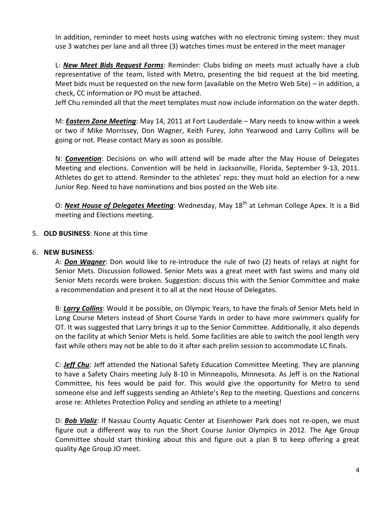In addition, reminder to meet hosts using watches with no electronic timing system: they must use 3 watches per lane and all three (3) watches times must be entered in the meet manager

L: *New Meet Bids Request Forms*: Reminder: Clubs biding on meets must actually have a club representative of the team, listed with Metro, presenting the bid request at the bid meeting. Meet bids must be requested on the new form (available on the Metro Web Site) – in addition, a check, CC information or PO must be attached.

Jeff Chu reminded all that the meet templates must now include information on the water depth.

M: *Eastern Zone Meeting*: May 14, 2011 at Fort Lauderdale – Mary needs to know within a week or two if Mike Morrissey, Don Wagner, Keith Furey, John Yearwood and Larry Collins will be going or not. Please contact Mary as soon as possible.

N: *Convention*: Decisions on who will attend will be made after the May House of Delegates Meeting and elections. Convention will be held in Jacksonville, Florida, September 9-13, 2011. Athletes do get to attend. Reminder to the athletes' reps: they must hold an election for a new Junior Rep. Need to have nominations and bios posted on the Web site.

O: **Next House of Delegates Meeting**: Wednesday, May 18<sup>th</sup> at Lehman College Apex. It is a Bid meeting and Elections meeting.

5. **OLD BUSINESS**: None at this time

#### 6. **NEW BUSINESS**:

A: *Don Wagner*: Don would like to re-introduce the rule of two (2) heats of relays at night for Senior Mets. Discussion followed. Senior Mets was a great meet with fast swims and many old Senior Mets records were broken. Suggestion: discuss this with the Senior Committee and make a recommendation and present it to all at the next House of Delegates.

B: *Larry Collins*: Would it be possible, on Olympic Years, to have the finals of Senior Mets held in Long Course Meters instead of Short Course Yards in order to have more swimmers qualify for OT. It was suggested that Larry brings it up to the Senior Committee. Additionally, it also depends on the facility at which Senior Mets is held. Some facilities are able to switch the pool length very fast while others may not be able to do it after each prelim session to accommodate LC finals.

C: *Jeff Chu*: Jeff attended the National Safety Education Committee Meeting. They are planning to have a Safety Chairs meeting July 8-10 in Minneapolis, Minnesota. As Jeff is on the National Committee, his fees would be paid for. This would give the opportunity for Metro to send someone else and Jeff suggests sending an Athlete's Rep to the meeting. Questions and concerns arose re: Athletes Protection Policy and sending an athlete to a meeting!

D: *Bob Vializ*: If Nassau County Aquatic Center at Eisenhower Park does not re-open, we must figure out a different way to run the Short Course Junior Olympics in 2012. The Age Group Committee should start thinking about this and figure out a plan B to keep offering a great quality Age Group JO meet.